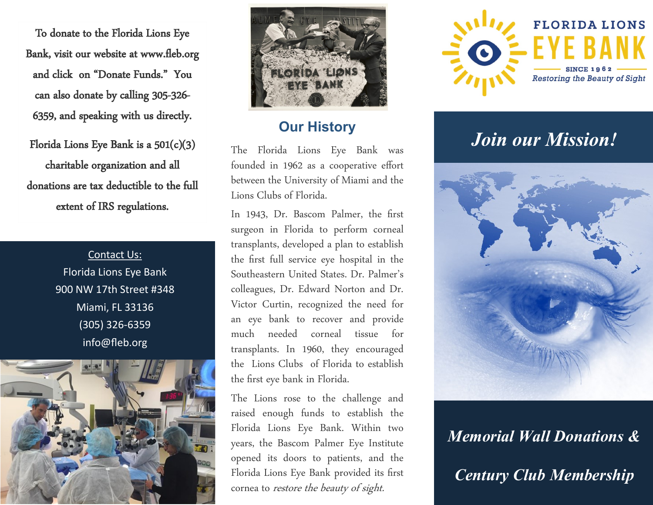To donate to the Florida Lions Eye Bank, visit our website at www.fleb.org and click on "Donate Funds." You can also donate by calling 305-326- 6359, and speaking with us directly.

Florida Lions Eye Bank is a 501(c)(3) charitable organization and all donations are tax deductible to the full extent of IRS regulations.

> Contact Us: Florida Lions Eye Bank 900 NW 17th Street #348 Miami, FL 33136 (305) 326-6359 info@fleb.org





### **Our History**

The Florida Lions Eye Bank was founded in 1962 as a cooperative effort between the University of Miami and the Lions Clubs of Florida.

In 1943, Dr. Bascom Palmer, the first surgeon in Florida to perform corneal transplants, developed a plan to establish the first full service eye hospital in the Southeastern United States. Dr. Palmer's colleagues, Dr. Edward Norton and Dr. Victor Curtin, recognized the need for an eye bank to recover and provide much needed corneal tissue for transplants. In 1960, they encouraged the Lions Clubs of Florida to establish the first eye bank in Florida.

The Lions rose to the challenge and raised enough funds to establish the Florida Lions Eye Bank. Within two years, the Bascom Palmer Eye Institute opened its doors to patients, and the Florida Lions Eye Bank provided its first cornea to restore the beauty of sight.



# **Join our Mission!**



*Memorial Wall Donations & Century Club Membership*